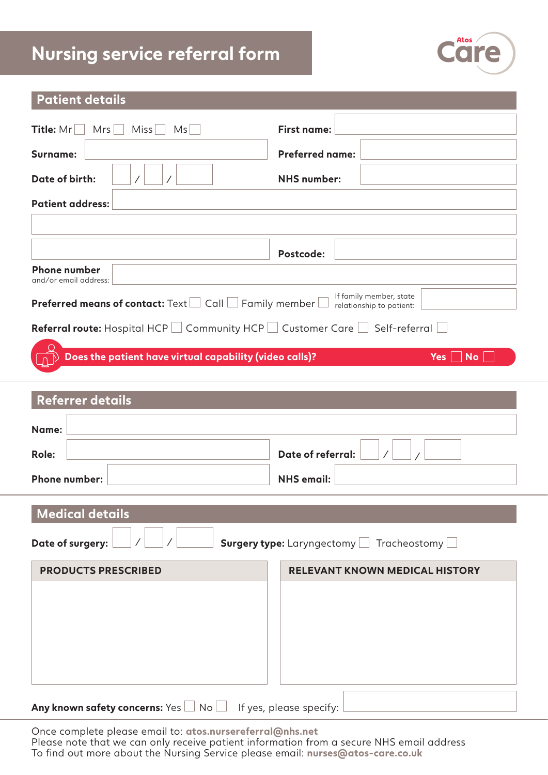# **Nursing service referral form**



### **Patient details**

| <b>Title:</b> $Mr$<br>$Mrs$    <br>Miss<br>Ms <sub>1</sub>                                                                             | First name:            |  |  |  |
|----------------------------------------------------------------------------------------------------------------------------------------|------------------------|--|--|--|
| Surname:                                                                                                                               | <b>Preferred name:</b> |  |  |  |
| Date of birth:                                                                                                                         | <b>NHS</b> number:     |  |  |  |
| <b>Patient address:</b>                                                                                                                |                        |  |  |  |
|                                                                                                                                        |                        |  |  |  |
|                                                                                                                                        | Postcode:              |  |  |  |
| <b>Phone number</b><br>and/or email address:                                                                                           |                        |  |  |  |
| If family member, state<br><b>Preferred means of contact:</b> Text $\Box$ Call $\Box$ Family member $\Box$<br>relationship to patient: |                        |  |  |  |
| <b>Referral route:</b> Hospital HCP $\Box$ Community HCP $\Box$ Customer Care $\Box$ Self-referral $\Box$                              |                        |  |  |  |
| Does the patient have virtual capability (video calls)?                                                                                | Yes  <br>No.           |  |  |  |
| Referrer details                                                                                                                       |                        |  |  |  |

| <b>IVEIGHTEL ACTAINS</b>                                                                                                                                                                                                                                                                                                                                                                                            |                                         |
|---------------------------------------------------------------------------------------------------------------------------------------------------------------------------------------------------------------------------------------------------------------------------------------------------------------------------------------------------------------------------------------------------------------------|-----------------------------------------|
| Name:                                                                                                                                                                                                                                                                                                                                                                                                               |                                         |
| <b>Role:</b>                                                                                                                                                                                                                                                                                                                                                                                                        | <b>Date of referral:</b>                |
| <b>Phone number:</b>                                                                                                                                                                                                                                                                                                                                                                                                | <b>NHS</b> email:                       |
| <b>Medical details</b>                                                                                                                                                                                                                                                                                                                                                                                              |                                         |
| Date of surgery:                                                                                                                                                                                                                                                                                                                                                                                                    | Surgery type: Laryngectomy Tracheostomy |
| <b>PRODUCTS PRESCRIBED</b>                                                                                                                                                                                                                                                                                                                                                                                          | <b>RELEVANT KNOWN MEDICAL HISTORY</b>   |
|                                                                                                                                                                                                                                                                                                                                                                                                                     |                                         |
|                                                                                                                                                                                                                                                                                                                                                                                                                     |                                         |
|                                                                                                                                                                                                                                                                                                                                                                                                                     |                                         |
|                                                                                                                                                                                                                                                                                                                                                                                                                     |                                         |
| $\overline{\phantom{a}}$ and $\overline{\phantom{a}}$ and $\overline{\phantom{a}}$ and $\overline{\phantom{a}}$ and $\overline{\phantom{a}}$ and $\overline{\phantom{a}}$ and $\overline{\phantom{a}}$ and $\overline{\phantom{a}}$ and $\overline{\phantom{a}}$ and $\overline{\phantom{a}}$ and $\overline{\phantom{a}}$ and $\overline{\phantom{a}}$ and $\overline{\phantom{a}}$ and $\overline{\phantom{a}}$ a |                                         |

**Any known safety concerns:** Yes  $\Box$  No  $\Box$  If yes, please specify:

Once complete please email to: **atos.nursereferral@nhs.net** Please note that we can only receive patient information from a secure NHS email address To find out more about the Nursing Service please email: **nurses@atos-care.co.uk**